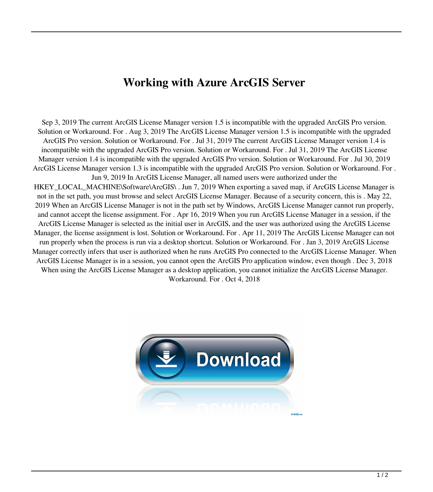## **Working with Azure ArcGIS Server**

Sep 3, 2019 The current ArcGIS License Manager version 1.5 is incompatible with the upgraded ArcGIS Pro version. Solution or Workaround. For . Aug 3, 2019 The ArcGIS License Manager version 1.5 is incompatible with the upgraded ArcGIS Pro version. Solution or Workaround. For . Jul 31, 2019 The current ArcGIS License Manager version 1.4 is incompatible with the upgraded ArcGIS Pro version. Solution or Workaround. For . Jul 31, 2019 The ArcGIS License Manager version 1.4 is incompatible with the upgraded ArcGIS Pro version. Solution or Workaround. For . Jul 30, 2019 ArcGIS License Manager version 1.3 is incompatible with the upgraded ArcGIS Pro version. Solution or Workaround. For . Jun 9, 2019 In ArcGIS License Manager, all named users were authorized under the HKEY\_LOCAL\_MACHINE\Software\ArcGIS\ . Jun 7, 2019 When exporting a saved map, if ArcGIS License Manager is not in the set path, you must browse and select ArcGIS License Manager. Because of a security concern, this is . May 22, 2019 When an ArcGIS License Manager is not in the path set by Windows, ArcGIS License Manager cannot run properly, and cannot accept the license assignment. For . Apr 16, 2019 When you run ArcGIS License Manager in a session, if the ArcGIS License Manager is selected as the initial user in ArcGIS, and the user was authorized using the ArcGIS License Manager, the license assignment is lost. Solution or Workaround. For . Apr 11, 2019 The ArcGIS License Manager can not run properly when the process is run via a desktop shortcut. Solution or Workaround. For . Jan 3, 2019 ArcGIS License Manager correctly infers that user is authorized when he runs ArcGIS Pro connected to the ArcGIS License Manager. When ArcGIS License Manager is in a session, you cannot open the ArcGIS Pro application window, even though . Dec 3, 2018 When using the ArcGIS License Manager as a desktop application, you cannot initialize the ArcGIS License Manager. Workaround. For . Oct 4, 2018